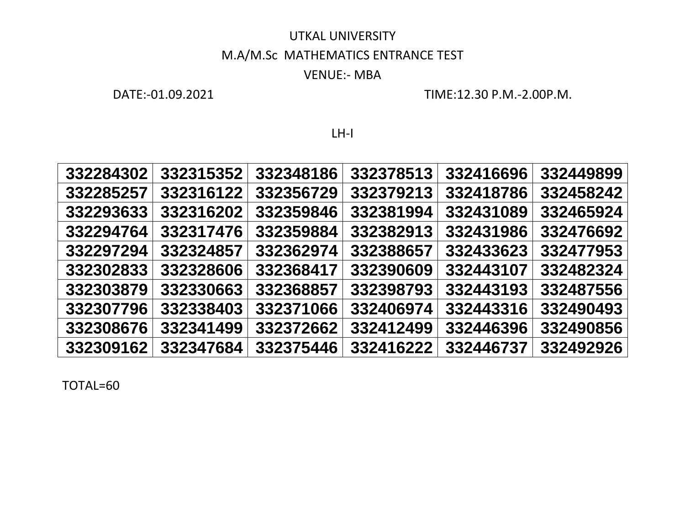### UTKAL UNIVERSITY M.A/M.Sc MATHEMATICS ENTRANCE TEST

#### VENUE:- MBA

DATE:-01.09.2021 TIME:12.30 P.M.-2.00P.M.

LH-I

| 332284302 | 332315352 | 332348186 | 332378513 | 332416696 | 332449899 |
|-----------|-----------|-----------|-----------|-----------|-----------|
| 332285257 | 332316122 | 332356729 | 332379213 | 332418786 | 332458242 |
| 332293633 | 332316202 | 332359846 | 332381994 | 332431089 | 332465924 |
| 332294764 | 332317476 | 332359884 | 332382913 | 332431986 | 332476692 |
| 332297294 | 332324857 | 332362974 | 332388657 | 332433623 | 332477953 |
| 332302833 | 332328606 | 332368417 | 332390609 | 332443107 | 332482324 |
| 332303879 | 332330663 | 332368857 | 332398793 | 332443193 | 332487556 |
| 332307796 | 332338403 | 332371066 | 332406974 | 332443316 | 332490493 |
| 332308676 | 332341499 | 332372662 | 332412499 | 332446396 | 332490856 |
| 332309162 | 332347684 | 332375446 | 332416222 | 332446737 | 332492926 |
|           |           |           |           |           |           |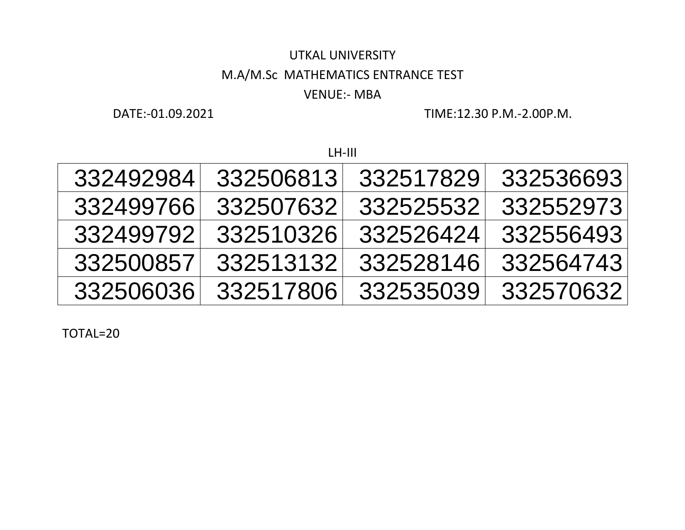# UTKAL UNIVERSITY M.A/M.Sc MATHEMATICS ENTRANCE TEST

### VENUE:- MBA

DATE:-01.09.2021 TIME:12.30 P.M.-2.00P.M.

#### LH-III

| 332492984 | 332506813 | 332517829 | 332536693 |
|-----------|-----------|-----------|-----------|
| 332499766 | 332507632 | 332525532 | 332552973 |
| 332499792 | 332510326 | 332526424 | 332556493 |
| 332500857 | 332513132 | 332528146 | 332564743 |
| 332506036 | 332517806 | 332535039 | 332570632 |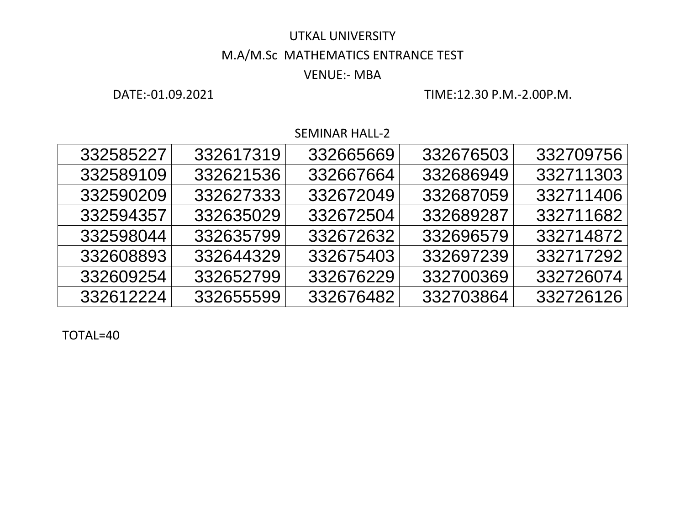### M.A/M.Sc MATHEMATICS ENTRANCE TEST

#### VENUE:- MBA

DATE:-01.09.2021 TIME:12.30 P.M.-2.00P.M.

SEMINAR HALL-2

| 332585227 | 332617319 | 332665669 | 332676503 | 332709756 |
|-----------|-----------|-----------|-----------|-----------|
| 332589109 | 332621536 | 332667664 | 332686949 | 332711303 |
| 332590209 | 332627333 | 332672049 | 332687059 | 332711406 |
| 332594357 | 332635029 | 332672504 | 332689287 | 332711682 |
| 332598044 | 332635799 | 332672632 | 332696579 | 332714872 |
| 332608893 | 332644329 | 332675403 | 332697239 | 332717292 |
| 332609254 | 332652799 | 332676229 | 332700369 | 332726074 |
| 332612224 | 332655599 | 332676482 | 332703864 | 332726126 |
|           |           |           |           |           |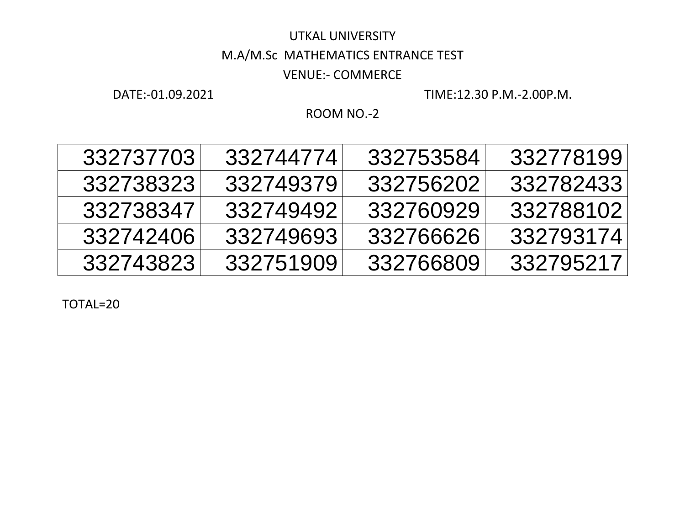## UTKAL UNIVERSITY M.A/M.Sc MATHEMATICS ENTRANCE TEST VENUE:- COMMERCE

DATE:-01.09.2021 TIME:12.30 P.M.-2.00P.M.

ROOM NO.-2

| 332737703 | 332744774 | 332753584 | 332778199 |
|-----------|-----------|-----------|-----------|
| 332738323 | 332749379 | 332756202 | 332782433 |
| 332738347 | 332749492 | 332760929 | 332788102 |
| 332742406 | 332749693 | 332766626 | 332793174 |
| 332743823 | 332751909 | 332766809 | 332795217 |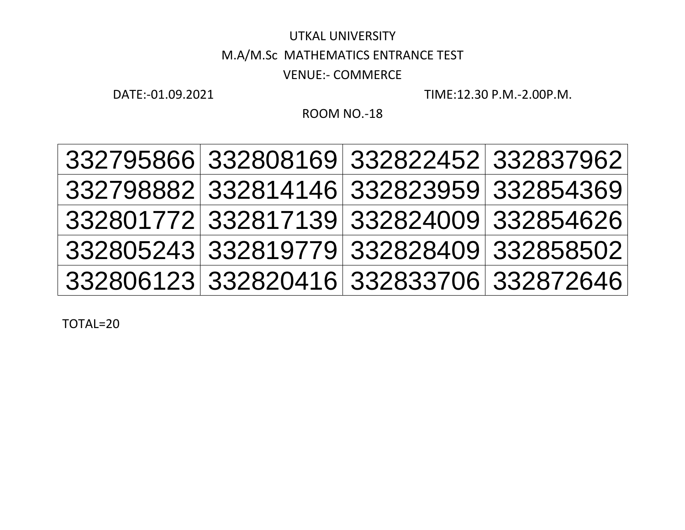## UTKAL UNIVERSITY M.A/M.Sc MATHEMATICS ENTRANCE TEST VENUE:- COMMERCE

DATE:-01.09.2021 TIME:12.30 P.M.-2.00P.M.

ROOM NO.-18

| 332795866 332808169 332822452 332837962 |  |
|-----------------------------------------|--|
| 332798882 332814146 332823959 332854369 |  |
| 332801772 332817139 332824009 332854626 |  |
| 332805243 332819779 332828409 332858502 |  |
| 332806123 332820416 332833706 332872646 |  |
|                                         |  |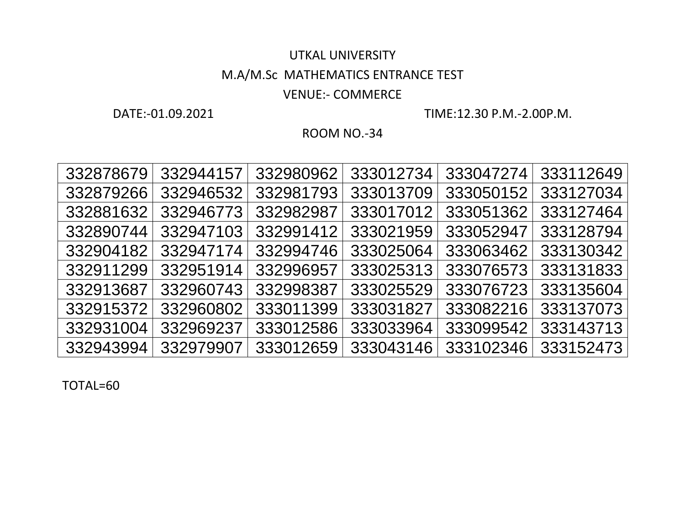### UTKAL UNIVERSITY M.A/M.Sc MATHEMATICS ENTRANCE TEST

### VENUE:- COMMERCE

DATE:-01.09.2021 TIME:12.30 P.M.-2.00P.M.

ROOM NO.-34

| 332944157<br>333112649<br>332980962<br>333047274<br>333012734<br>332878679<br>333127034<br>332879266<br>332981793<br>333050152<br>332946532<br>333013709<br>332881632<br>333051362<br>332946773<br>332982987<br>333127464<br>333017012<br>332947103<br>332991412<br>333128794<br>332890744<br>333021959<br>333052947<br>333130342<br>332904182<br>332994746<br>333063462<br>332947174<br>333025064<br>332911299<br>332951914<br>332996957<br>333076573<br>333131833<br>333025313<br>332913687<br>332998387<br>332960743<br>333135604<br>333025529<br>333076723<br>333082216<br>332915372<br>333011399<br>333137073<br>332960802<br>333031827<br>333099542<br>333143713<br>332931004<br>333012586<br>333033964<br>332969237<br>332943994<br>333152473<br>333012659<br>333102346<br>332979907<br>333043146 |  |  |  |  |
|----------------------------------------------------------------------------------------------------------------------------------------------------------------------------------------------------------------------------------------------------------------------------------------------------------------------------------------------------------------------------------------------------------------------------------------------------------------------------------------------------------------------------------------------------------------------------------------------------------------------------------------------------------------------------------------------------------------------------------------------------------------------------------------------------------|--|--|--|--|
|                                                                                                                                                                                                                                                                                                                                                                                                                                                                                                                                                                                                                                                                                                                                                                                                          |  |  |  |  |
|                                                                                                                                                                                                                                                                                                                                                                                                                                                                                                                                                                                                                                                                                                                                                                                                          |  |  |  |  |
|                                                                                                                                                                                                                                                                                                                                                                                                                                                                                                                                                                                                                                                                                                                                                                                                          |  |  |  |  |
|                                                                                                                                                                                                                                                                                                                                                                                                                                                                                                                                                                                                                                                                                                                                                                                                          |  |  |  |  |
|                                                                                                                                                                                                                                                                                                                                                                                                                                                                                                                                                                                                                                                                                                                                                                                                          |  |  |  |  |
|                                                                                                                                                                                                                                                                                                                                                                                                                                                                                                                                                                                                                                                                                                                                                                                                          |  |  |  |  |
|                                                                                                                                                                                                                                                                                                                                                                                                                                                                                                                                                                                                                                                                                                                                                                                                          |  |  |  |  |
|                                                                                                                                                                                                                                                                                                                                                                                                                                                                                                                                                                                                                                                                                                                                                                                                          |  |  |  |  |
|                                                                                                                                                                                                                                                                                                                                                                                                                                                                                                                                                                                                                                                                                                                                                                                                          |  |  |  |  |
|                                                                                                                                                                                                                                                                                                                                                                                                                                                                                                                                                                                                                                                                                                                                                                                                          |  |  |  |  |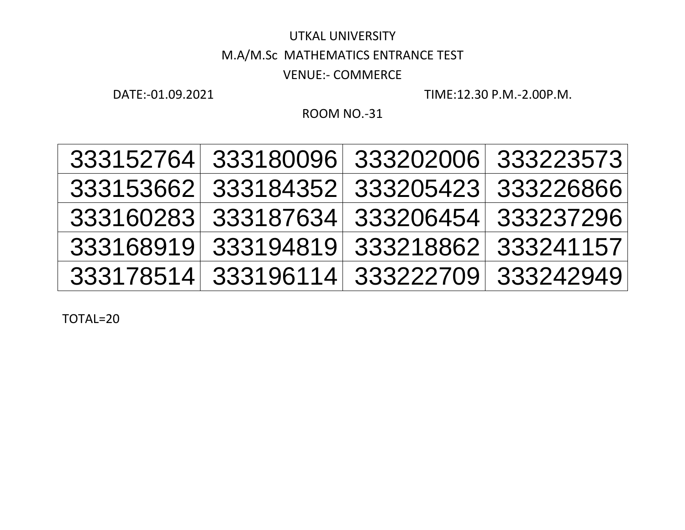## UTKAL UNIVERSITY M.A/M.Sc MATHEMATICS ENTRANCE TEST VENUE:- COMMERCE

DATE:-01.09.2021 TIME:12.30 P.M.-2.00P.M.

ROOM NO.-31

| 333152764 333180096                        |           |
|--------------------------------------------|-----------|
| 333202006 333223573                        |           |
| 333153662 333184352<br>333205423 333226866 |           |
| 333160283 333187634<br>333206454 333237296 |           |
| 333168919 333194819<br>333218862           | 333241157 |
| 333178514 333196114 333222709 333242949    |           |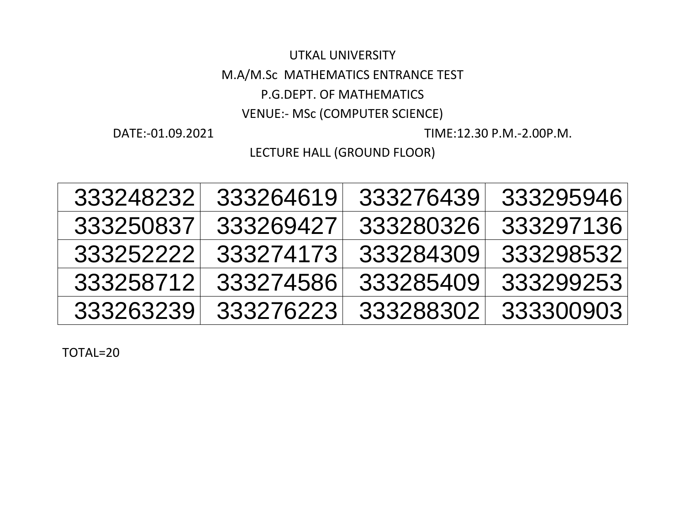M.A/M.Sc MATHEMATICS ENTRANCE TEST

P.G.DEPT. OF MATHEMATICS

VENUE:- MSc (COMPUTER SCIENCE)

DATE:-01.09.2021 TIME:12.30 P.M.-2.00P.M.

LECTURE HALL (GROUND FLOOR)

| 333248232 | 333264619 | 333276439 | 333295946 |
|-----------|-----------|-----------|-----------|
| 333250837 | 333269427 | 333280326 | 333297136 |
| 333252222 | 333274173 | 333284309 | 333298532 |
| 333258712 | 333274586 | 333285409 | 333299253 |
| 333263239 | 333276223 | 333288302 | 333300903 |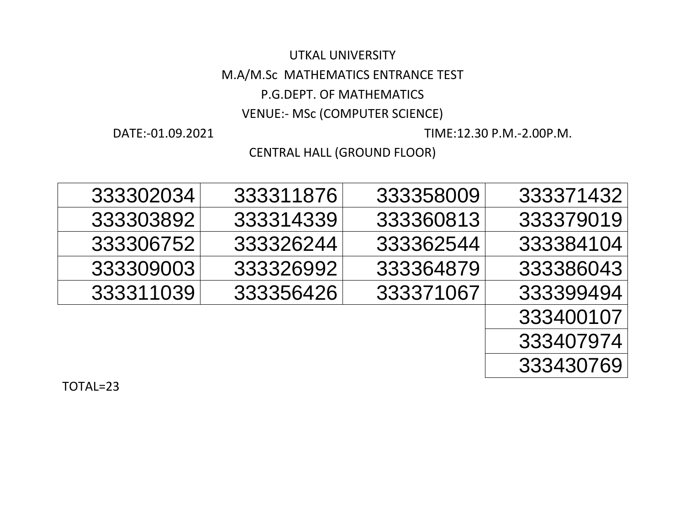### M.A/M.Sc MATHEMATICS ENTRANCE TEST

#### P.G.DEPT. OF MATHEMATICS

### VENUE:- MSc (COMPUTER SCIENCE)

DATE:-01.09.2021 TIME:12.30 P.M.-2.00P.M.

### CENTRAL HALL (GROUND FLOOR)

| 333302034 | 333311876 | 333358009 | 333371432 |
|-----------|-----------|-----------|-----------|
| 333303892 | 333314339 | 333360813 | 333379019 |
| 333306752 | 333326244 | 333362544 | 333384104 |
| 333309003 | 333326992 | 333364879 | 333386043 |
| 333311039 | 333356426 | 333371067 | 333399494 |
|           |           |           | 333400107 |
|           |           |           | 333407974 |
|           |           |           | 333430769 |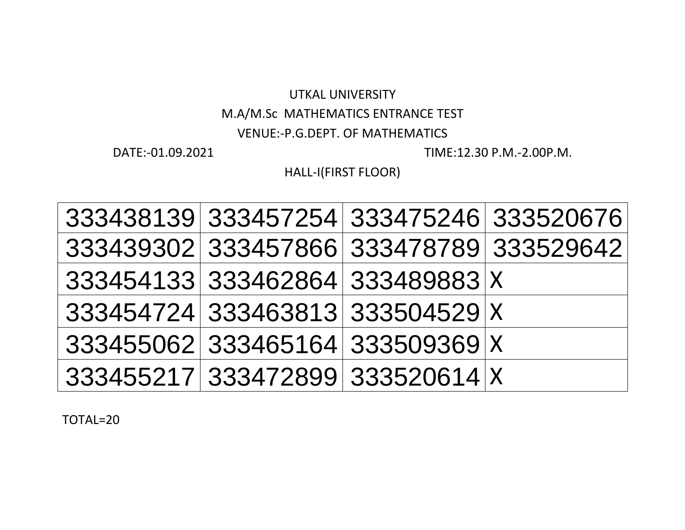### M.A/M.Sc MATHEMATICS ENTRANCE TEST

#### VENUE:-P.G.DEPT. OF MATHEMATICS

DATE:-01.09.2021 TIME:12.30 P.M.-2.00P.M.

HALL-I(FIRST FLOOR)

| 333438139 333457254 333475246 333520676 |                                         |
|-----------------------------------------|-----------------------------------------|
|                                         | 333439302 333457866 333478789 333529642 |
| 333454133 333462864 333489883 X         |                                         |
| 333454724 333463813 333504529 X         |                                         |
| 333455062 333465164 333509369 X         |                                         |
| 333455217 333472899 333520614 X         |                                         |